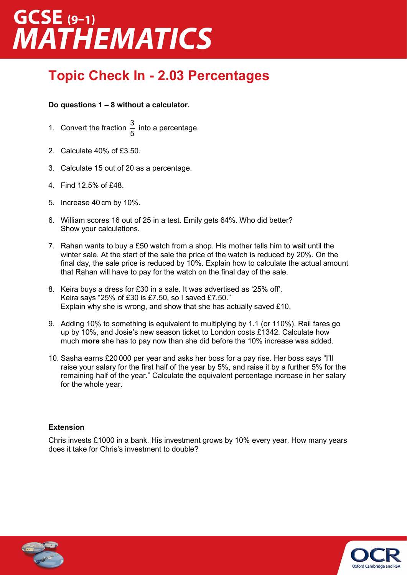# GCSE (9-1)<br>MATHEMATICS

### **Topic Check In - 2.03 Percentages**

### **Do questions 1 – 8 without a calculator.**

- 1. Convert the fraction 5  $\frac{3}{5}$  into a percentage.
- 2. Calculate 40% of £3.50.
- 3. Calculate 15 out of 20 as a percentage.
- 4. Find 12.5% of £48.
- 5. Increase 40 cm by 10%.
- 6. William scores 16 out of 25 in a test. Emily gets 64%. Who did better? Show your calculations.
- 7. Rahan wants to buy a £50 watch from a shop. His mother tells him to wait until the winter sale. At the start of the sale the price of the watch is reduced by 20%. On the final day, the sale price is reduced by 10%. Explain how to calculate the actual amount that Rahan will have to pay for the watch on the final day of the sale.
- 8. Keira buys a dress for £30 in a sale. It was advertised as '25% off'. Keira says "25% of £30 is £7.50, so I saved £7.50." Explain why she is wrong, and show that she has actually saved £10.
- 9. Adding 10% to something is equivalent to multiplying by 1.1 (or 110%). Rail fares go up by 10%, and Josie's new season ticket to London costs £1342. Calculate how much **more** she has to pay now than she did before the 10% increase was added.
- 10. Sasha earns £20 000 per year and asks her boss for a pay rise. Her boss says "I'll raise your salary for the first half of the year by 5%, and raise it by a further 5% for the remaining half of the year." Calculate the equivalent percentage increase in her salary for the whole year.

### **Extension**

Chris invests £1000 in a bank. His investment grows by 10% every year. How many years does it take for Chris's investment to double?



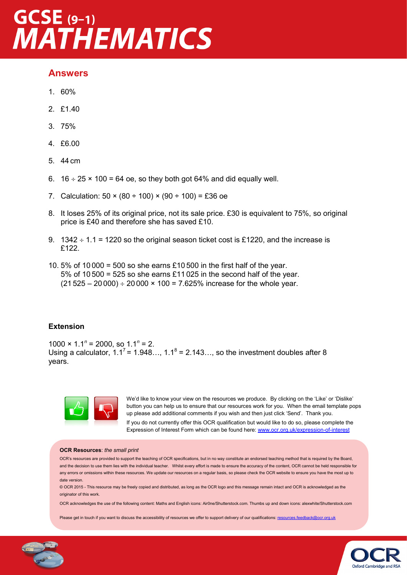## GCSE (9-1)<br>MATHEMATICS

### **Answers**

- 1. 60%
- 2. £1.40
- 3. 75%
- 4. £6.00
- 5. 44 cm
- 6.  $16 \div 25 \times 100 = 64$  oe, so they both got 64% and did equally well.
- 7. Calculation:  $50 \times (80 \div 100) \times (90 \div 100) = £36$  oe
- 8. It loses 25% of its original price, not its sale price. £30 is equivalent to 75%, so original price is £40 and therefore she has saved £10.
- 9.  $1342 \div 1.1 = 1220$  so the original season ticket cost is £1220, and the increase is £122.
- 10. 5% of 10 000 = 500 so she earns £10 500 in the first half of the year. 5% of 10 500 = 525 so she earns £11 025 in the second half of the year.  $(21 525 - 20 000) \div 20 000 \times 100 = 7.625\%$  increase for the whole year.

### **Extension**

1000  $\times$  1.1<sup>n</sup> = 2000, so 1.1<sup>n</sup> = 2. Using a calculator,  $1.1^7$  = 1.948...,  $1.1^8$  = 2.143..., so the investment doubles after 8 years.



We'd like to know your view on the resources we produce. By clicking on the 'Like' or 'Dislike' button you can help us to ensure that our resources work for you. When the email template pops up please add additional comments if you wish and then just click 'Send'. Thank you.

If you do not currently offer this OCR qualification but would like to do so, please complete the Expression of Interest Form which can be found here: www.ocr.org.uk/expression-of-interest

#### **OCR Resources**: *the small print*

OCR's resources are provided to support the teaching of OCR specifications, but in no way constitute an endorsed teaching method that is required by the Board, and the decision to use them lies with the individual teacher. Whilst every effort is made to ensure the accuracy of the content, OCR cannot be held responsible for any errors or omissions within these resources. We update our resources on a regular basis, so please check the OCR website to ensure you have the most up to date version.

© OCR 2015 - This resource may be freely copied and distributed, as long as the OCR logo and this message remain intact and OCR is acknowledged as the originator of this work.

OCR acknowledges the use of the following content: Maths and English icons: Air0ne/Shutterstock.com. Thumbs up and down icons: alexwhite/Shutterstock.com

Please get in touch if you want to discuss the accessibility of resources we offer to support delivery of our qualifications: [resources.feedback@ocr.org.uk](mailto:resources.feedback@ocr.org.uk)